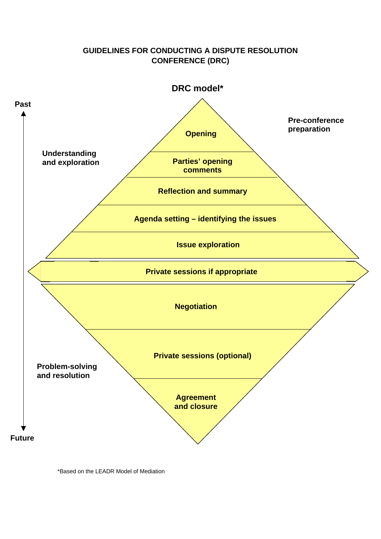# **GUIDELINES FOR CONDUCTING A DISPUTE RESOLUTION CONFERENCE (DRC)**